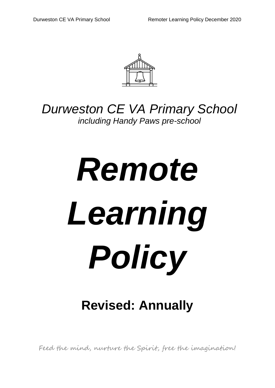

## *Durweston CE VA Primary School including Handy Paws pre-school*

# *Remote Learning Policy*

# **Revised: Annually**

Feed the mind, nurture the Spirit, free the imagination!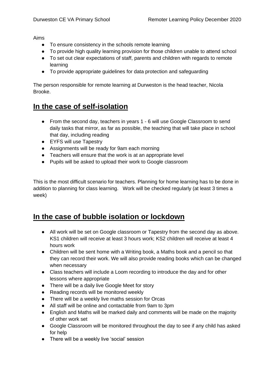Aims

- To ensure consistency in the schools remote learning
- To provide high quality learning provision for those children unable to attend school
- To set out clear expectations of staff, parents and children with regards to remote learning
- To provide appropriate guidelines for data protection and safeguarding

The person responsible for remote learning at Durweston is the head teacher, Nicola Brooke.

## **In the case of self-isolation**

- From the second day, teachers in years 1 6 will use Google Classroom to send daily tasks that mirror, as far as possible, the teaching that will take place in school that day, including reading
- EYFS will use Tapestry
- Assignments will be ready for 9am each morning
- Teachers will ensure that the work is at an appropriate level
- Pupils will be asked to upload their work to Google classroom

This is the most difficult scenario for teachers. Planning for home learning has to be done in addition to planning for class learning. Work will be checked regularly (at least 3 times a week)

### **In the case of bubble isolation or lockdown**

- All work will be set on Google classroom or Tapestry from the second day as above. KS1 children will receive at least 3 hours work; KS2 children will receive at least 4 hours work
- Children will be sent home with a Writing book, a Maths book and a pencil so that they can record their work. We will also provide reading books which can be changed when necessary
- Class teachers will include a Loom recording to introduce the day and for other lessons where appropriate
- There will be a daily live Google Meet for story
- Reading records will be monitored weekly
- There will be a weekly live maths session for Orcas
- All staff will be online and contactable from 9am to 3pm
- English and Maths will be marked daily and comments will be made on the majority of other work set
- Google Classroom will be monitored throughout the day to see if any child has asked for help
- There will be a weekly live 'social' session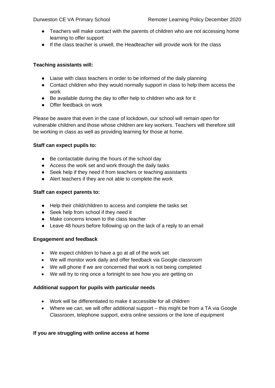- Teachers will make contact with the parents of children who are not accessing home learning to offer support
- If the class teacher is unwell, the Headteacher will provide work for the class

#### **Teaching assistants will:**

- Liaise with class teachers in order to be informed of the daily planning
- Contact children who they would normally support in class to help them access the work
- Be available during the day to offer help to children who ask for it
- Offer feedback on work

Please be aware that even in the case of lockdown, our school will remain open for vulnerable children and those whose children are key workers. Teachers will therefore still be working in class as well as providing learning for those at home.

#### **Staff can expect pupils to:**

- Be contactable during the hours of the school day
- Access the work set and work through the daily tasks
- Seek help if they need if from teachers or teaching assistants
- Alert teachers if they are not able to complete the work

#### **Staff can expect parents to:**

- Help their child/children to access and complete the tasks set
- Seek help from school if they need it
- Make concerns known to the class teacher
- Leave 48 hours before following up on the lack of a reply to an email

#### **Engagement and feedback**

- We expect children to have a go at all of the work set
- We will monitor work daily and offer feedback via Google classroom
- We will phone if we are concerned that work is not being completed
- We will try to ring once a fortnight to see how you are getting on

#### **Additional support for pupils with particular needs**

- Work will be differentiated to make it accessible for all children
- Where we can, we will offer additional support this might be from a TA via Google Classroom, telephone support, extra online sessions or the lone of equipment

#### **If you are struggling with online access at home**